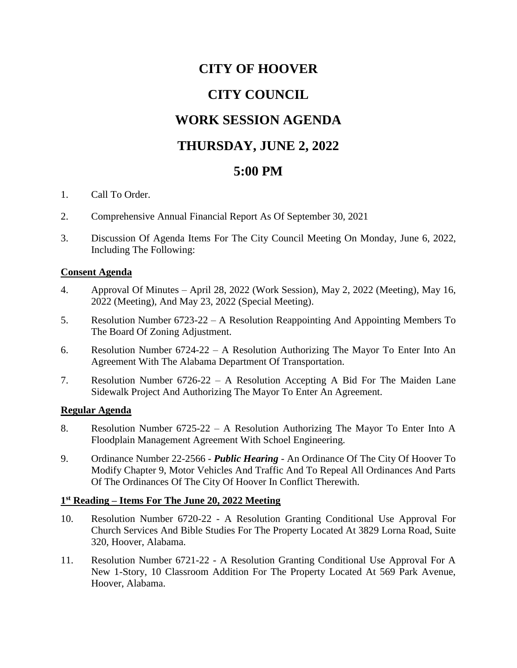# **CITY OF HOOVER**

# **CITY COUNCIL**

### **WORK SESSION AGENDA**

# **THURSDAY, JUNE 2, 2022**

### **5:00 PM**

- 1. Call To Order.
- 2. Comprehensive Annual Financial Report As Of September 30, 2021
- 3. Discussion Of Agenda Items For The City Council Meeting On Monday, June 6, 2022, Including The Following:

#### **Consent Agenda**

- 4. Approval Of Minutes April 28, 2022 (Work Session), May 2, 2022 (Meeting), May 16, 2022 (Meeting), And May 23, 2022 (Special Meeting).
- 5. Resolution Number 6723-22 A Resolution Reappointing And Appointing Members To The Board Of Zoning Adjustment.
- 6. Resolution Number 6724-22 A Resolution Authorizing The Mayor To Enter Into An Agreement With The Alabama Department Of Transportation.
- 7. Resolution Number 6726-22 A Resolution Accepting A Bid For The Maiden Lane Sidewalk Project And Authorizing The Mayor To Enter An Agreement.

#### **Regular Agenda**

- 8. Resolution Number 6725-22 A Resolution Authorizing The Mayor To Enter Into A Floodplain Management Agreement With Schoel Engineering.
- 9. Ordinance Number 22-2566 *Public Hearing* An Ordinance Of The City Of Hoover To Modify Chapter 9, Motor Vehicles And Traffic And To Repeal All Ordinances And Parts Of The Ordinances Of The City Of Hoover In Conflict Therewith.

#### **1 st Reading – Items For The June 20, 2022 Meeting**

- 10. Resolution Number 6720-22 A Resolution Granting Conditional Use Approval For Church Services And Bible Studies For The Property Located At 3829 Lorna Road, Suite 320, Hoover, Alabama.
- 11. Resolution Number 6721-22 A Resolution Granting Conditional Use Approval For A New 1-Story, 10 Classroom Addition For The Property Located At 569 Park Avenue, Hoover, Alabama.